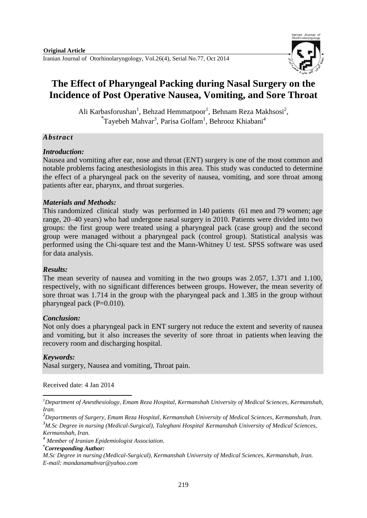Iranian Journal of Otorhinolaryngology, Vol.26(4), Serial No.77, Oct 2014



# **The Effect of Pharyngeal Packing during Nasal Surgery on the Incidence of Post Operative Nausea, Vomiting, and Sore Throat**

Ali Karbasforushan<sup>1</sup>, Behzad Hemmatpoor<sup>1</sup>, Behnam Reza Makhsosi<sup>2</sup>, \*Tayebeh Mahvar<sup>3</sup>, Parisa Golfam<sup>1</sup>, Behrooz Khiabani<sup>4</sup>

### *Abstract*

#### *Introduction:*

Nausea and vomiting after ear, nose and throat (ENT) surgery is one of the most common and notable problems facing anesthesiologists in this area. This study was conducted to determine the effect of a pharyngeal pack on the severity of nausea, vomiting, and sore throat among patients after ear, pharynx, and throat surgeries.

## *Materials and Methods:*

This randomized clinical study was performed in 140 patients (61 men and 79 women; age range, 20–40 years) who had undergone nasal surgery in 2010. Patients were divided into two groups: the first group were treated using a pharyngeal pack (case group) and the second group were managed without a pharyngeal pack (control group). Statistical analysis was performed using the Chi-square test and the Mann-Whitney U test. SPSS software was used for data analysis.

#### *Results:*

The mean severity of nausea and vomiting in the two groups was 2.057, 1.371 and 1.100, respectively, with no significant differences between groups. However, the mean severity of sore throat was 1.714 in the group with the pharyngeal pack and 1.385 in the group without pharyngeal pack (P=0.010).

#### *Conclusion:*

Not only does a pharyngeal pack in ENT surgery not reduce the extent and severity of nausea and vomiting, but it also increases the severity of sore throat in patients when leaving the recovery room and discharging hospital.

#### *Keywords:*

-

Nasal surgery, Nausea and vomiting, Throat pain.

Received date: 4 Jan 2014

*Kermanshah, Iran.*

*\*Corresponding Author:*

*<sup>1</sup>Department of Anesthesiology, Emam Reza Hospital, Kermanshah University of Medical Sciences, Kermanshah, Iran.*

*<sup>2</sup>Departments of Surgery, Emam Reza Hospital, Kermanshah University of Medical Sciences, Kermanshah, Iran. <sup>3</sup>M.Sc Degree in nursing (Medical-Surgical), Taleghani Hospital Kermanshah University of Medical Sciences,*

*<sup>4</sup> Member of Iranian Epidemiologist Association.*

*M.Sc Degree in nursing (Medical-Surgical), Kermanshah University of Medical Sciences, Kermanshah, Iran. E-mail: mandanamahvar@yahoo.com*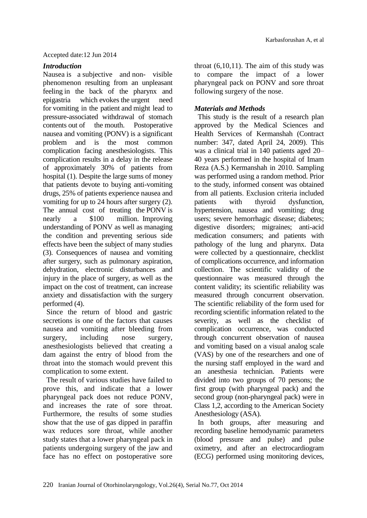## *Introduction*

Nausea is a subjective and non- visible phenomenon resulting from an unpleasant feeling in the back of the pharynx and epigastria which evokes the urgent need for vomiting in the patient and might lead to pressure-associated withdrawal of stomach contents out of the mouth. Postoperative nausea and vomiting (PONV) is a significant problem and is the most common complication facing anesthesiologists. This complication results in a delay in the release of approximately 30% of patients from hospital (1). Despite the large sums of money that patients devote to buying anti-vomiting drugs, 25% of patients experience nausea and vomiting for up to 24 hours after surgery (2). The annual cost of treating the PONV is nearly a \$100 million. Improving understanding of PONV as well as managing the condition and preventing serious side effects have been the subject of many studies (3). Consequences of nausea and vomiting after surgery, such as pulmonary aspiration, dehydration, electronic disturbances and injury in the place of surgery, as well as the impact on the cost of treatment, can increase anxiety and dissatisfaction with the surgery performed (4).

Since the return of blood and gastric secretions is one of the factors that causes nausea and vomiting after bleeding from surgery, including nose surgery, anesthesiologists believed that creating a dam against the entry of blood from the throat into the stomach would prevent this complication to some extent.

The result of various studies have failed to prove this, and indicate that a lower pharyngeal pack does not reduce PONV, and increases the rate of sore throat. Furthermore, the results of some studies show that the use of gas dipped in paraffin wax reduces sore throat, while another study states that a lower pharyngeal pack in patients undergoing surgery of the jaw and face has no effect on postoperative sore

throat  $(6,10,11)$ . The aim of this study was to compare the impact of a lower pharyngeal pack on PONV and sore throat following surgery of the nose.

## *Materials and Methods*

This study is the result of a research plan approved by the Medical Sciences and Health Services of Kermanshah (Contract number: 347, dated April 24, 2009). This was a clinical trial in 140 patients aged 20– 40 years performed in the hospital of Imam Reza (A.S.) Kermanshah in 2010. Sampling was performed using a random method. Prior to the study, informed consent was obtained from all patients. Exclusion criteria included patients with thyroid dysfunction, hypertension, nausea and vomiting; drug users; severe hemorrhagic disease; diabetes; digestive disorders; migraines; anti-acid medication consumers; and patients with pathology of the lung and pharynx. Data were collected by a questionnaire, checklist of complications occurrence, and information collection. The scientific validity of the questionnaire was measured through the content validity; its scientific reliability was measured through concurrent observation. The scientific reliability of the form used for recording scientific information related to the severity, as well as the checklist of complication occurrence, was conducted through concurrent observation of nausea and vomiting based on a visual analog scale (VAS) by one of the researchers and one of the nursing staff employed in the ward and an anesthesia technician. Patients were divided into two groups of 70 persons; the first group (with pharyngeal pack) and the second group (non-pharyngeal pack) were in Class 1,2, according to the American Society Anesthesiology (ASA).

In both groups, after measuring and recording baseline hemodynamic parameters (blood pressure and pulse) and pulse oximetry, and after an electrocardiogram (ECG) performed using monitoring devices,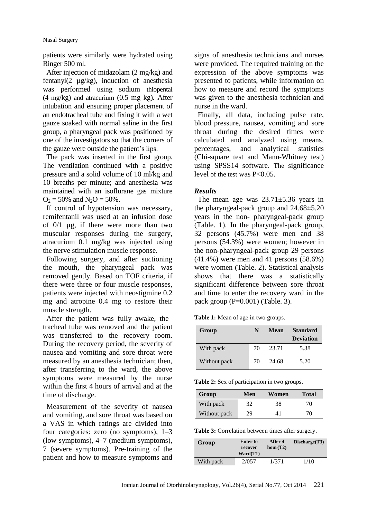patients were similarly were hydrated using Ringer 500 ml.

After injection of midazolam (2 mg/kg) and fentanyl(2 µg/kg), induction of anesthesia was performed using sodium thiopental (4 mg/kg) and atracurium (0.5 mg kg). After intubation and ensuring proper placement of an endotracheal tube and fixing it with a wet gauze soaked with normal saline in the first group, a pharyngeal pack was positioned by one of the investigators so that the corners of the gauze were outside the patient's lips.

The pack was inserted in the first group. The ventilation continued with a positive pressure and a solid volume of 10 ml/kg and 10 breaths per minute; and anesthesia was maintained with an isoflurane gas mixture  $O_2 = 50\%$  and  $N_2O = 50\%$ .

If control of hypotension was necessary, remifentanil was used at an infusion dose of 0/1 µg, if there were more than two muscular responses during the surgery, atracurium 0.1 mg/kg was injected using the nerve stimulation muscle response.

Following surgery, and after suctioning the mouth, the pharyngeal pack was removed gently. Based on TOF criteria, if there were three or four muscle responses, patients were injected with neostigmine 0.2 mg and atropine 0.4 mg to restore their muscle strength.

After the patient was fully awake, the tracheal tube was removed and the patient was transferred to the recovery room. During the recovery period, the severity of nausea and vomiting and sore throat were measured by an anesthesia technician; then, after transferring to the ward, the above symptoms were measured by the nurse within the first 4 hours of arrival and at the time of discharge.

Measurement of the severity of nausea and vomiting, and sore throat was based on a VAS in which ratings are divided into four categories: zero (no symptoms), 1–3 (low symptoms), 4–7 (medium symptoms), 7 (severe symptoms). Pre-training of the patient and how to measure symptoms and

signs of anesthesia technicians and nurses were provided. The required training on the expression of the above symptoms was presented to patients, while information on how to measure and record the symptoms was given to the anesthesia technician and nurse in the ward.

Finally, all data, including pulse rate, blood pressure, nausea, vomiting and sore throat during the desired times were calculated and analyzed using means, percentages, and analytical statistics (Chi-square test and Mann**-**Whitney test) using SPSS14 software. The significance level of the test was P<0.05.

#### *Results*

The mean age was 23.71±5.36 years in the pharyngeal-pack group and 24.68±5.20 years in the non- pharyngeal-pack group (Table. 1). In the pharyngeal-pack group, 32 persons (45.7%) were men and 38 persons (54.3%) were women; however in the non-pharyngeal-pack group 29 persons (41.4%) were men and 41 persons (58.6%) were women (Table. 2). Statistical analysis shows that there was a statistically significant difference between sore throat and time to enter the recovery ward in the pack group  $(P=0.001)$  (Table. 3).

**Table 1:** Mean of age in two groups.

| Group        | N  | Mean  | <b>Standard</b><br><b>Deviation</b> |
|--------------|----|-------|-------------------------------------|
| With pack    | 70 | 23.71 | 5.38                                |
| Without pack | 70 | 24.68 | 5.20                                |

**Table 2:** Sex of participation in two groups.

| Group        | Men | Women | <b>Total</b> |
|--------------|-----|-------|--------------|
| With pack    | 32  | 38    | 70           |
| Without pack | 29  | 41    | 70           |

| Table 3: Correlation between times after surgery. |
|---------------------------------------------------|
|                                                   |

| Group     | Enter to<br>recover<br>$\text{Ward}(T1)$ | After 4<br>hour(T2) | Discharge(T3) |
|-----------|------------------------------------------|---------------------|---------------|
| With pack | 2/057                                    | 1/371               | 1/10          |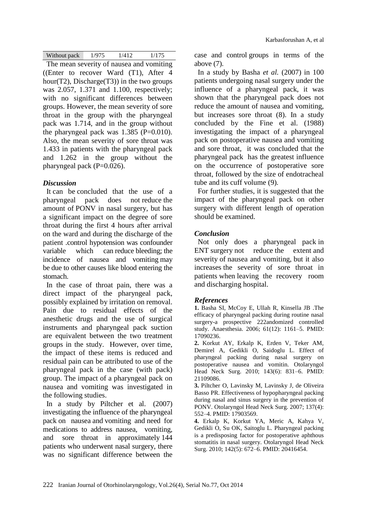| Without pack | 1/975 | 1/412 | 1/175 |
|--------------|-------|-------|-------|

The mean severity of nausea and vomiting ((Enter to recover Ward (T1), After 4 hour(T2), Discharge(T3)) in the two groups was 2.057, 1.371 and 1.100, respectively; with no significant differences between groups. However, the mean severity of sore throat in the group with the pharyngeal pack was 1.714, and in the group without the pharyngeal pack was  $1.385$  (P=0.010). Also, the mean severity of sore throat was 1.433 in patients with the pharyngeal pack and 1.262 in the group without the pharyngeal pack  $(P=0.026)$ .

# *Discussion*

It can be concluded that the use of a pharyngeal pack does not reduce the amount of PONV in nasal surgery, but has a significant impact on the degree of sore throat during the first 4 hours after arrival on the ward and during the discharge of the patient .control hypotension was confounder variable which can reduce bleeding; the incidence of nausea and vomiting may be due to other causes like blood entering the stomach.

In the case of throat pain, there was a direct impact of the pharyngeal pack, possibly explained by irritation on removal. Pain due to residual effects of the anesthetic drugs and the use of surgical instruments and pharyngeal pack suction are equivalent between the two treatment groups in the study. However, over time, the impact of these items is reduced and residual pain can be attributed to use of the pharyngeal pack in the case (with pack) group. The impact of a pharyngeal pack on nausea and vomiting was investigated in the following studies.

In a study by Piltcher et al. (2007) investigating the influence of the pharyngeal pack on nausea and vomiting and need for medications to address nausea, vomiting, and sore throat in approximately 144 patients who underwent nasal surgery, there was no significant difference between the case and control groups in terms of the above (7).

In a study by Basha *et al.* (2007) in 100 patients undergoing nasal surgery under the influence of a pharyngeal pack, it was shown that the pharyngeal pack does not reduce the amount of nausea and vomiting, but increases sore throat (8). In a study concluded by the Fine et al. (1988) investigating the impact of a pharyngeal pack on postoperative nausea and vomiting and sore throat, it was concluded that the pharyngeal pack has the greatest influence on the occurrence of postoperative sore throat, followed by the size of endotracheal tube and its cuff volume (9).

For further studies, it is suggested that the impact of the pharyngeal pack on other surgery with different length of operation should be examined.

# *Conclusion*

Not only does a pharyngeal pack in ENT surgery not reduce the extent and severity of nausea and vomiting, but it also increases the severity of sore throat in patients when leaving the recovery room and discharging hospital.

## *References*

**1.** Basha SI, McCoy E, Ullah R, Kinsella JB .The efficacy of pharyngeal packing during routine nasal surgery-a prospective 222andomized controlled study. Anaesthesia. 2006; 61(12): 1161–5. PMID: 17090236.

**2.** Korkut AY, Erkalp K, Erden V, Teker AM, Demirel A, Gedikli O, Saidoglu L. Effect of pharyngeal packing during nasal surgery on postoperative nausea and vomitin. Otolaryngol Head Neck Surg. 2010; 143(6): 831–6. PMID: 21109086.

**3.** Piltcher O, Lavinsky M, Lavinsky J, de Oliveira Basso PR. Effectiveness of hypopharyngeal packing during nasal and sinus surgery in the prevention of PONV. Otolaryngol Head Neck Surg. 2007; 137(4): 552–4. PMID: 17903569.

**4.** Erkalp K, Korkut YA, Meric A, Kahya V, Gedikli O, Su OK, Saitoglu L. Pharyngeal packing is a predisposing factor for postoperative aphthous stomatitis in nasal surgery. Otolaryngol Head Neck Surg. 2010; 142(5): 672–6. PMID: 20416454.